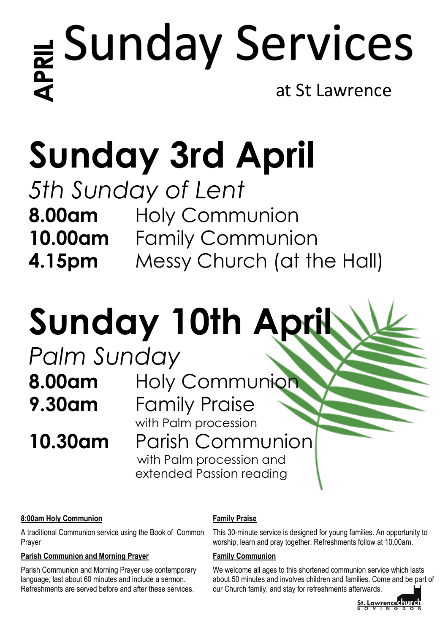# **A**<br>
at St Lawrence<br>
at St Lawrence

## **Sunday 3rd April**

*5th Sunday of Lent* **8.00am** Holy Communion **10.00am** Family Communion **4.15pm** Messy Church (at the Hall)

## **Sunday 10th April**

# *Palm Sunday*

**8.00am** Holy Communion **9.30am** Family Praise with Palm procession **10.30am** Parish Communion with Palm procession and extended Passion reading

### **8:00am Holy Communion**

A traditional Communion service using the Book of Common Prayer

### **Parish Communion and Morning Prayer**

Parish Communion and Morning Prayer use contemporary language, last about 60 minutes and include a sermon. Refreshments are served before and after these services.

### **Family Praise**

This 30-minute service is designed for young families. An opportunity to worship, learn and pray together. Refreshments follow at 10.00am.

### **Family Communion**

We welcome all ages to this shortened communion service which lasts about 50 minutes and involves children and families. Come and be part of our Church family, and stay for refreshments afterwards.